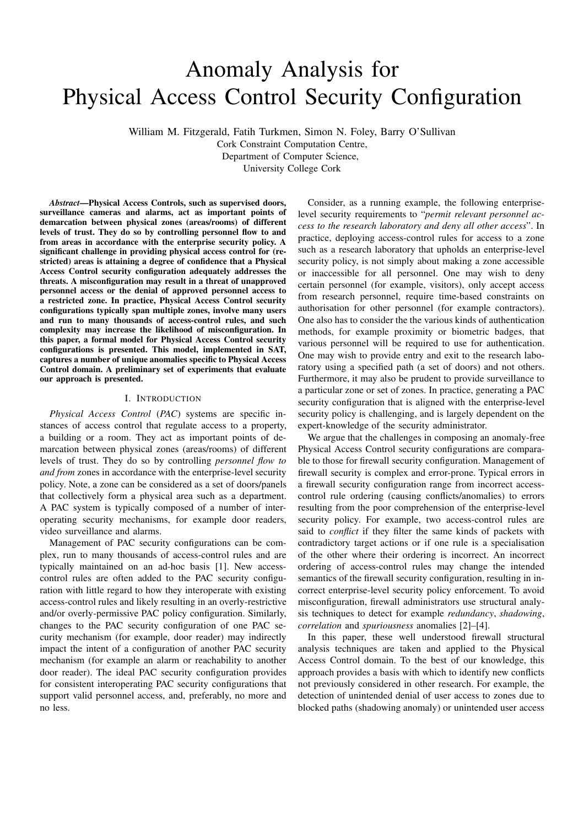# Anomaly Analysis for Physical Access Control Security Configuration

William M. Fitzgerald, Fatih Turkmen, Simon N. Foley, Barry O'Sullivan

Cork Constraint Computation Centre,

Department of Computer Science, University College Cork

*Abstract***—Physical Access Controls, such as supervised doors, surveillance cameras and alarms, act as important points of demarcation between physical zones (areas/rooms) of different levels of trust. They do so by controlling personnel flow to and from areas in accordance with the enterprise security policy. A significant challenge in providing physical access control for (restricted) areas is attaining a degree of confidence that a Physical Access Control security configuration adequately addresses the threats. A misconfiguration may result in a threat of unapproved personnel access or the denial of approved personnel access to a restricted zone. In practice, Physical Access Control security configurations typically span multiple zones, involve many users and run to many thousands of access-control rules, and such complexity may increase the likelihood of misconfiguration. In this paper, a formal model for Physical Access Control security configurations is presented. This model, implemented in SAT, captures a number of unique anomalies specific to Physical Access Control domain. A preliminary set of experiments that evaluate our approach is presented.**

## I. INTRODUCTION

*Physical Access Control* (*PAC*) systems are specific instances of access control that regulate access to a property, a building or a room. They act as important points of demarcation between physical zones (areas/rooms) of different levels of trust. They do so by controlling *personnel flow to and from* zones in accordance with the enterprise-level security policy. Note, a zone can be considered as a set of doors/panels that collectively form a physical area such as a department. A PAC system is typically composed of a number of interoperating security mechanisms, for example door readers, video surveillance and alarms.

Management of PAC security configurations can be complex, run to many thousands of access-control rules and are typically maintained on an ad-hoc basis [1]. New accesscontrol rules are often added to the PAC security configuration with little regard to how they interoperate with existing access-control rules and likely resulting in an overly-restrictive and/or overly-permissive PAC policy configuration. Similarly, changes to the PAC security configuration of one PAC security mechanism (for example, door reader) may indirectly impact the intent of a configuration of another PAC security mechanism (for example an alarm or reachability to another door reader). The ideal PAC security configuration provides for consistent interoperating PAC security configurations that support valid personnel access, and, preferably, no more and no less.

Consider, as a running example, the following enterpriselevel security requirements to "*permit relevant personnel access to the research laboratory and deny all other access*". In practice, deploying access-control rules for access to a zone such as a research laboratory that upholds an enterprise-level security policy, is not simply about making a zone accessible or inaccessible for all personnel. One may wish to deny certain personnel (for example, visitors), only accept access from research personnel, require time-based constraints on authorisation for other personnel (for example contractors). One also has to consider the the various kinds of authentication methods, for example proximity or biometric badges, that various personnel will be required to use for authentication. One may wish to provide entry and exit to the research laboratory using a specified path (a set of doors) and not others. Furthermore, it may also be prudent to provide surveillance to a particular zone or set of zones. In practice, generating a PAC security configuration that is aligned with the enterprise-level security policy is challenging, and is largely dependent on the expert-knowledge of the security administrator.

We argue that the challenges in composing an anomaly-free Physical Access Control security configurations are comparable to those for firewall security configuration. Management of firewall security is complex and error-prone. Typical errors in a firewall security configuration range from incorrect accesscontrol rule ordering (causing conflicts/anomalies) to errors resulting from the poor comprehension of the enterprise-level security policy. For example, two access-control rules are said to *conflict* if they filter the same kinds of packets with contradictory target actions or if one rule is a specialisation of the other where their ordering is incorrect. An incorrect ordering of access-control rules may change the intended semantics of the firewall security configuration, resulting in incorrect enterprise-level security policy enforcement. To avoid misconfiguration, firewall administrators use structural analysis techniques to detect for example *redundancy*, *shadowing*, *correlation* and *spuriousness* anomalies [2]–[4].

In this paper, these well understood firewall structural analysis techniques are taken and applied to the Physical Access Control domain. To the best of our knowledge, this approach provides a basis with which to identify new conflicts not previously considered in other research. For example, the detection of unintended denial of user access to zones due to blocked paths (shadowing anomaly) or unintended user access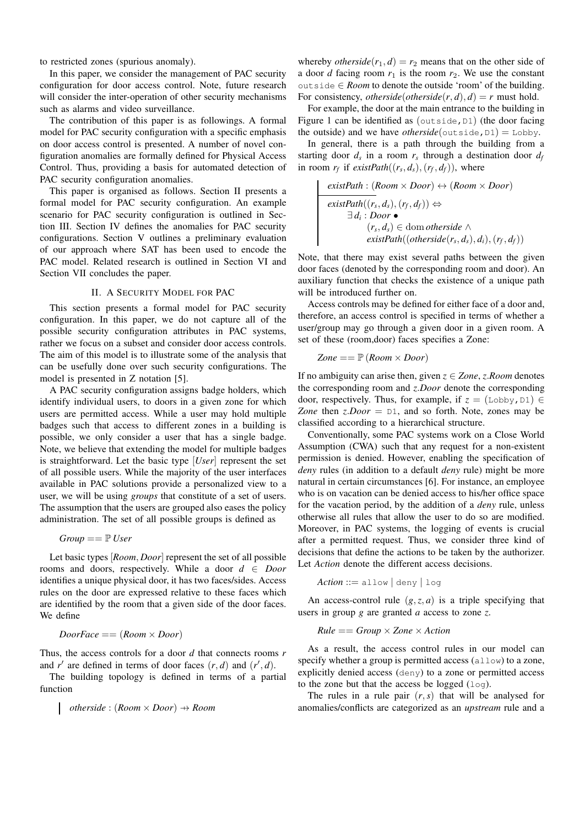to restricted zones (spurious anomaly).

In this paper, we consider the management of PAC security configuration for door access control. Note, future research will consider the inter-operation of other security mechanisms such as alarms and video surveillance.

The contribution of this paper is as followings. A formal model for PAC security configuration with a specific emphasis on door access control is presented. A number of novel configuration anomalies are formally defined for Physical Access Control. Thus, providing a basis for automated detection of PAC security configuration anomalies.

This paper is organised as follows. Section II presents a formal model for PAC security configuration. An example scenario for PAC security configuration is outlined in Section III. Section IV defines the anomalies for PAC security configurations. Section V outlines a preliminary evaluation of our approach where SAT has been used to encode the PAC model. Related research is outlined in Section VI and Section VII concludes the paper.

#### II. A SECURITY MODEL FOR PAC

This section presents a formal model for PAC security configuration. In this paper, we do not capture all of the possible security configuration attributes in PAC systems, rather we focus on a subset and consider door access controls. The aim of this model is to illustrate some of the analysis that can be usefully done over such security configurations. The model is presented in Z notation [5].

A PAC security configuration assigns badge holders, which identify individual users, to doors in a given zone for which users are permitted access. While a user may hold multiple badges such that access to different zones in a building is possible, we only consider a user that has a single badge. Note, we believe that extending the model for multiple badges is straightforward. Let the basic type [*User*] represent the set of all possible users. While the majority of the user interfaces available in PAC solutions provide a personalized view to a user, we will be using *groups* that constitute of a set of users. The assumption that the users are grouped also eases the policy administration. The set of all possible groups is defined as

$$
Group == P User
$$

Let basic types [*Room*, *Door*] represent the set of all possible rooms and doors, respectively. While a door *d* ∈ *Door* identifies a unique physical door, it has two faces/sides. Access rules on the door are expressed relative to these faces which are identified by the room that a given side of the door faces. We define

$$
DoorFace == (Room \times Door)
$$

Thus, the access controls for a door *d* that connects rooms *r* and  $r'$  are defined in terms of door faces  $(r, d)$  and  $(r', d)$ .

The building topology is defined in terms of a partial function

*otherwise* : 
$$
(Room \times Door)
$$
  $\rightarrow Room$ 

whereby *otherside*( $r_1$ ,  $d$ ) =  $r_2$  means that on the other side of a door *d* facing room  $r_1$  is the room  $r_2$ . We use the constant outside ∈ *Room* to denote the outside 'room' of the building. For consistency, *otherside*(*otherside*( $r$ ,  $d$ ),  $d$ ) =  $r$  must hold.

For example, the door at the main entrance to the building in Figure 1 can be identified as  $(\text{outside},\text{D1})$  (the door facing the outside) and we have *otherside*(outside,  $DI$ ) = Lobby.

In general, there is a path through the building from a starting door  $d_s$  in a room  $r_s$  through a destination door  $d_f$ in room  $r_f$  if  $\text{existPath}((r_s, d_s), (r_f, d_f))$ , where

$$
\begin{aligned}\n\text{existPath}: (\text{Room} \times \text{Door}) &\leftrightarrow (\text{Room} \times \text{Door}) \\
\hline\n\text{existPath}((r_s, d_s), (r_f, d_f)) &\Leftrightarrow \\
\exists d_i : \text{Door} \bullet \\
&\quad (r_s, d_s) \in \text{dom} \text{ otherwise } \land \\
\text{existPath}((\text{otherwise}(r_s, d_s), d_i), (r_f, d_f))\n\end{aligned}
$$

Note, that there may exist several paths between the given door faces (denoted by the corresponding room and door). An auxiliary function that checks the existence of a unique path will be introduced further on.

Access controls may be defined for either face of a door and, therefore, an access control is specified in terms of whether a user/group may go through a given door in a given room. A set of these (room,door) faces specifies a Zone:

$$
Zone == \mathbb{P}(Room \times Door)
$$

If no ambiguity can arise then, given  $z \in \mathbf{Z}$ *one*,  $z \cdot \mathbf{R}$ *oom* denotes the corresponding room and *z*.*Door* denote the corresponding door, respectively. Thus, for example, if  $z = (L \circ b) \circ (L \circ b)$ *Zone* then  $z\text{.Door} = D1$ , and so forth. Note, zones may be classified according to a hierarchical structure.

Conventionally, some PAC systems work on a Close World Assumption (CWA) such that any request for a non-existent permission is denied. However, enabling the specification of *deny* rules (in addition to a default *deny* rule) might be more natural in certain circumstances [6]. For instance, an employee who is on vacation can be denied access to his/her office space for the vacation period, by the addition of a *deny* rule, unless otherwise all rules that allow the user to do so are modified. Moreover, in PAC systems, the logging of events is crucial after a permitted request. Thus, we consider three kind of decisions that define the actions to be taken by the authorizer. Let *Action* denote the different access decisions.

Action ::= allow 
$$
| \text{deny} | \text{log}
$$

An access-control rule  $(g, z, a)$  is a triple specifying that users in group *g* are granted *a* access to zone *z*.

#### *Rule* == *Group* × *Zone* × *Action*

As a result, the access control rules in our model can specify whether a group is permitted access (allow) to a zone, explicitly denied access (deny) to a zone or permitted access to the zone but that the access be logged  $(1 \circ q)$ .

The rules in a rule pair  $(r, s)$  that will be analysed for anomalies/conflicts are categorized as an *upstream* rule and a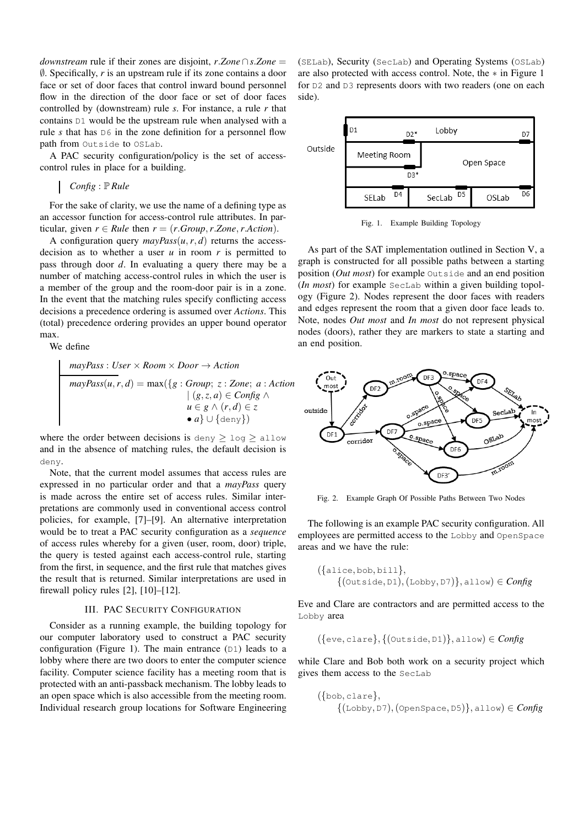*downstream* rule if their zones are disjoint, *r*.*Zone*  $\cap$  *s*.*Zone* = ∅. Specifically, *r* is an upstream rule if its zone contains a door face or set of door faces that control inward bound personnel flow in the direction of the door face or set of door faces controlled by (downstream) rule *s*. For instance, a rule *r* that contains D1 would be the upstream rule when analysed with a rule *s* that has D6 in the zone definition for a personnel flow path from Outside to OSLab.

A PAC security configuration/policy is the set of accesscontrol rules in place for a building.

*Config* : P *Rule*

For the sake of clarity, we use the name of a defining type as an accessor function for access-control rule attributes. In particular, given  $r \in Rule$  then  $r = (r.Group, r.Zone, r.Action)$ .

A configuration query  $mayPass(u, r, d)$  returns the accessdecision as to whether a user  $u$  in room  $r$  is permitted to pass through door *d*. In evaluating a query there may be a number of matching access-control rules in which the user is a member of the group and the room-door pair is in a zone. In the event that the matching rules specify conflicting access decisions a precedence ordering is assumed over *Actions*. This (total) precedence ordering provides an upper bound operator max.

We define

$$
\begin{aligned}\n\text{mayPass}: User \times Room & Door \rightarrow Action \\
\hline \text{mayPass}(u, r, d) &= \max(\{g : Group; z : Zone; a : Action \mid (g, z, a) \in Config \land \\
& u \in g \land (r, d) \in z \\
& \bullet a\} \cup \{\text{deny}\})\n\end{aligned}
$$

where the order between decisions is deny  $>$  log  $>$  allow and in the absence of matching rules, the default decision is deny.

Note, that the current model assumes that access rules are expressed in no particular order and that a *mayPass* query is made across the entire set of access rules. Similar interpretations are commonly used in conventional access control policies, for example, [7]–[9]. An alternative interpretation would be to treat a PAC security configuration as a *sequence* of access rules whereby for a given (user, room, door) triple, the query is tested against each access-control rule, starting from the first, in sequence, and the first rule that matches gives the result that is returned. Similar interpretations are used in firewall policy rules [2], [10]–[12].

# III. PAC SECURITY CONFIGURATION

Consider as a running example, the building topology for our computer laboratory used to construct a PAC security configuration (Figure 1). The main entrance (D1) leads to a lobby where there are two doors to enter the computer science facility. Computer science facility has a meeting room that is protected with an anti-passback mechanism. The lobby leads to an open space which is also accessible from the meeting room. Individual research group locations for Software Engineering (SELab), Security (SecLab) and Operating Systems (OSLab) are also protected with access control. Note, the ∗ in Figure 1 for D2 and D3 represents doors with two readers (one on each side).



Fig. 1. Example Building Topology

As part of the SAT implementation outlined in Section V, a graph is constructed for all possible paths between a starting position (*Out most*) for example Outside and an end position (*In most*) for example SecLab within a given building topology (Figure 2). Nodes represent the door faces with readers and edges represent the room that a given door face leads to. Note, nodes *Out most* and *In most* do not represent physical nodes (doors), rather they are markers to state a starting and an end position.



Fig. 2. Example Graph Of Possible Paths Between Two Nodes

The following is an example PAC security configuration. All employees are permitted access to the Lobby and OpenSpace areas and we have the rule:

$$
(\{\text{alice}, \text{bob}, \text{bill}\}, (\text{Lobby}, \text{D7})\}, \text{allow}) \in \text{Config}
$$

Eve and Clare are contractors and are permitted access to the Lobby area

$$
(\{\text{eve}, \text{clare}\}, \{(\text{Outside}, \text{D1})\}, \text{allow}) \in \text{Config}
$$

while Clare and Bob both work on a security project which gives them access to the SecLab

$$
(\{\text{bob}, \text{clare}\}, \{\text{(Lobby, D7)}, \text{(OpenSpace, D5)}\}, \text{allow}) \in \text{Config}
$$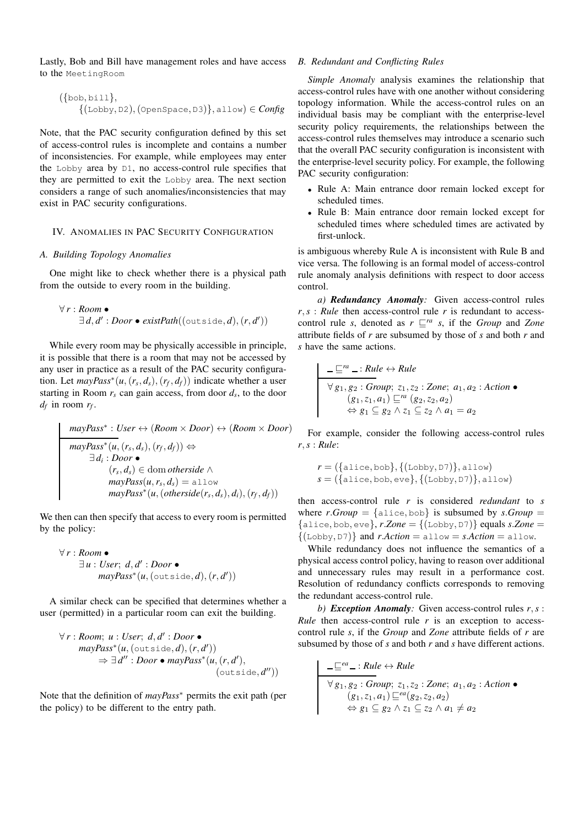Lastly, Bob and Bill have management roles and have access to the MeetingRoom

$$
(\{\mathtt{bob}, \mathtt{bill}\}, \{(\mathtt{Lobby}, \mathtt{D2}), (\mathtt{OpenSpace}, \mathtt{D3})\}, \mathtt{allow}) \in \mathit{Config}
$$

Note, that the PAC security configuration defined by this set of access-control rules is incomplete and contains a number of inconsistencies. For example, while employees may enter the Lobby area by D1, no access-control rule specifies that they are permitted to exit the Lobby area. The next section considers a range of such anomalies/inconsistencies that may exist in PAC security configurations.

# IV. ANOMALIES IN PAC SECURITY CONFIGURATION

#### *A. Building Topology Anomalies*

One might like to check whether there is a physical path from the outside to every room in the building.

$$
\forall r : Room \bullet
$$
  

$$
\exists d, d' : Door \bullet existPath((outside, d), (r, d'))
$$

While every room may be physically accessible in principle, it is possible that there is a room that may not be accessed by any user in practice as a result of the PAC security configuration. Let  $mayPass^*(u, (r_s, d_s), (r_f, d_f))$  indicate whether a user starting in Room  $r_s$  can gain access, from door  $d_s$ , to the door  $d_f$  in room  $r_f$ .

$$
\begin{aligned}\n\text{mayPass}^* : User &\leftrightarrow (\text{Room} \times Door) \leftrightarrow (\text{Room} \times Door) \\
\hline\n\text{mayPass}^*(u, (r_s, d_s), (r_f, d_f)) &\Leftrightarrow \\
\exists d_i : Door \bullet \\
 &\quad (r_s, d_s) \in \text{dom otherwise} \land \\
 &\quad \text{mayPass}(u, r_s, d_s) = \text{allow} \\
 &\quad \text{mayPass}^*(u, (otherside(r_s, d_s), d_i), (r_f, d_f))\n\end{aligned}
$$

We then can then specify that access to every room is permitted by the policy:

$$
\forall r: Room \bullet
$$
  

$$
\exists u: User; d, d': Door \bullet
$$
  

$$
mayPass^*(u, (outside, d), (r, d'))
$$

A similar check can be specified that determines whether a user (permitted) in a particular room can exit the building.

$$
\forall r: Room; u: User; d, d': Door \bullet
$$
  
\n
$$
mayPass^*(u, (outside, d), (r, d')) \Rightarrow \exists d'': Door \bullet mayPass^*(u, (r, d'),
$$
  
\n
$$
(\text{outside}, d''))
$$

Note that the definition of *mayPass*<sup>∗</sup> permits the exit path (per the policy) to be different to the entry path.

#### *B. Redundant and Conflicting Rules*

*Simple Anomaly* analysis examines the relationship that access-control rules have with one another without considering topology information. While the access-control rules on an individual basis may be compliant with the enterprise-level security policy requirements, the relationships between the access-control rules themselves may introduce a scenario such that the overall PAC security configuration is inconsistent with the enterprise-level security policy. For example, the following PAC security configuration:

- Rule A: Main entrance door remain locked except for scheduled times.
- Rule B: Main entrance door remain locked except for scheduled times where scheduled times are activated by first-unlock.

is ambiguous whereby Rule A is inconsistent with Rule B and vice versa. The following is an formal model of access-control rule anomaly analysis definitions with respect to door access control.

*a) Redundancy Anomaly:* Given access-control rules *r*,*s* : *Rule* then access-control rule *r* is redundant to accesscontrol rule *s*, denoted as  $r \sqsubseteq^{ra} s$ , if the *Group* and *Zone* attribute fields of *r* are subsumed by those of *s* and both *r* and *s* have the same actions.

$$
\frac{\square^{ra} - \square^{ra} \times Rule}{\forall g_1, g_2 : Group; z_1, z_2 : Zone; a_1, a_2 : Action \bullet} (g_1, z_1, a_1) \square^{ra} (g_2, z_2, a_2) \n\Leftrightarrow g_1 \subseteq g_2 \land z_1 \subseteq z_2 \land a_1 = a_2
$$

For example, consider the following access-control rules *r*,*s* : *Rule*:

$$
r = (\{\text{alice}, \text{bob}\}, \{(\text{Lobby}, \text{D7})\}, \text{allow})
$$

$$
s = (\{\text{alice}, \text{bob}, \text{eve}\}, \{(\text{Lobby}, \text{D7})\}, \text{allow})
$$

then access-control rule *r* is considered *redundant* to *s* where  $r.Group = \{ \text{alice}, \text{bob} \}$  is subsumed by  $s.Group =$  $\{\text{alice}, \text{bob}, \text{eve}\}, r.Zone = \{(\text{Lobby}, D7)\}\)$  equals  $s.Zone =$  $\{(\text{Lobby}, D7)\}\$  and  $r.Action = \text{allow} = s.Action = \text{allow}$ .

While redundancy does not influence the semantics of a physical access control policy, having to reason over additional and unnecessary rules may result in a performance cost. Resolution of redundancy conflicts corresponds to removing the redundant access-control rule.

*b) Exception Anomaly:* Given access-control rules *r*,*s* : *Rule* then access-control rule  $r$  is an exception to accesscontrol rule *s*, if the *Group* and *Zone* attribute fields of *r* are subsumed by those of *s* and both *r* and *s* have different actions.

$$
\begin{aligned}\n&-\sqsubseteq^{ea} \_:\text{Rule} \leftrightarrow \text{Rule} \\
\forall g_1, g_2: Group; z_1, z_2: \text{Zone}; a_1, a_2: \text{Action} \bullet \\
&(g_1, z_1, a_1) \sqsubseteq^{ea}(g_2, z_2, a_2) \\
&\Leftrightarrow g_1 \subseteq g_2 \land z_1 \subseteq z_2 \land a_1 \neq a_2\n\end{aligned}
$$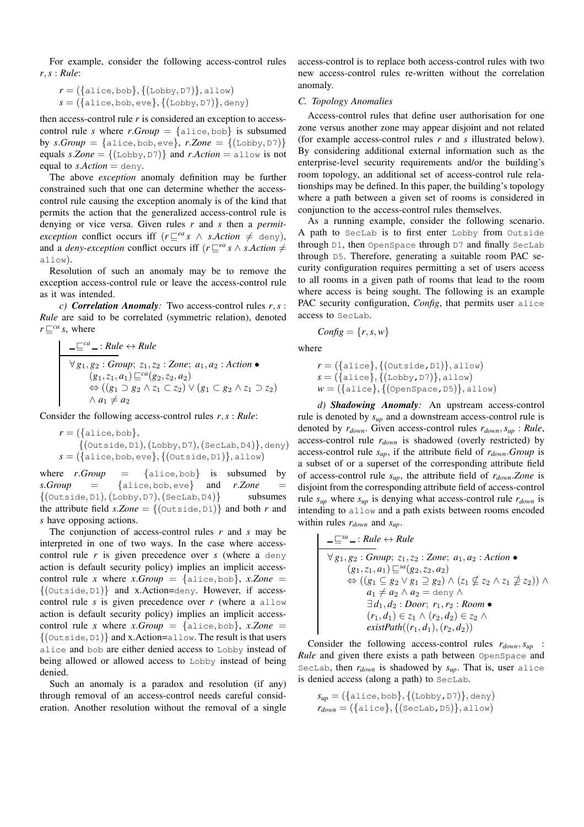For example, consider the following access-control rules *r*,*s* : *Rule*:

```
r = (\{\text{alice}, \text{bob}\}, \{(\text{Lobby}, D7)\}, \text{allow})s = (\{\text{alice}, \text{bob}, \text{eve}\}, \{(\text{Lobby}, D7)\}, \text{deny})
```
then access-control rule *r* is considered an exception to accesscontrol rule *s* where  $r.Group = \{ \text{alice}, \text{bob} \}$  is subsumed by  $s.Group = \{ \text{alice}, \text{bob}, \text{eve} \}, r.Zone = \{ (\text{Lobby}, D7) \}$ equals  $s.Zone = \{(\text{Lobby}, \text{D7})\}$  and  $r.Action = \text{allow is not}$ equal to *s*.*Action* = deny.

The above *exception* anomaly definition may be further constrained such that one can determine whether the accesscontrol rule causing the exception anomaly is of the kind that permits the action that the generalized access-control rule is denying or vice versa. Given rules *r* and *s* then a *permitexception* conflict occurs iff  $(r \sqsubseteq^{ea} s \land s \text{.} \text{Action} \neq \text{deny})$ , and a *deny-exception* conflict occurs iff ( $r \sqsubseteq^{ea} s \wedge s$ .*Action*  $\neq$ allow).

Resolution of such an anomaly may be to remove the exception access-control rule or leave the access-control rule as it was intended.

*c) Correlation Anomaly:* Two access-control rules *r*,*s* : *Rule* are said to be correlated (symmetric relation), denoted  $r ⊏^{ca}$  *s*, where

$$
\frac{\Box^{ca} =: Rule \leftrightarrow Rule}{\forall g_1, g_2 : Group; z_1, z_2 : Zone; a_1, a_2 : Action \bullet}
$$
  
\n
$$
(g_1, z_1, a_1) \Box^{ca}(g_2, z_2, a_2)
$$
  
\n
$$
\Leftrightarrow ((g_1 \supset g_2 \land z_1 \subseteq z_2) \lor (g_1 \subseteq g_2 \land z_1 \supset z_2))
$$
  
\n
$$
\land a_1 \neq a_2
$$

Consider the following access-control rules *r*,*s* : *Rule*:

$$
r = (\{\text{alice}, \text{bob}\}, (\text{Lobby}, \text{D7}), (\text{SecLab}, \text{D4})\}, \text{deny})
$$

$$
s = (\{\text{alice}, \text{bob}, \text{eve}\}, \{(\text{Outside}, \text{D1})\}, \text{allow})
$$

where  $r.Group$  = {alice, bob} is subsumed by  $s.Group$  = {alice, bob, eve} and  $r.Zone$  =  ${ \atop \text{alice, bob, eve } \atop \text{robby, D7}, (SecLab, D4) }$  and *r.Zone* =  $\{(\text{Outside}, \text{D1}), (\text{Lobby}, \text{D7}), (\text{SecLab}, \text{D4})\}$ the attribute field  $s.Zone = \{(\text{Outside}, \text{D1})\}$  and both *r* and *s* have opposing actions.

The conjunction of access-control rules *r* and *s* may be interpreted in one of two ways. In the case where accesscontrol rule *r* is given precedence over *s* (where a deny action is default security policy) implies an implicit accesscontrol rule *x* where  $x$ .*Group* = {alice, bob},  $x$ .*Zone* = {(Outside, D1)} and x.Action=deny. However, if accesscontrol rule *s* is given precedence over *r* (where a allow action is default security policy) implies an implicit accesscontrol rule *x* where  $x.Group = \{ \text{alice}, \text{bob} \}, x.Zone =$ {(Outside, D1)} and x.Action=allow. The result is that users alice and bob are either denied access to Lobby instead of being allowed or allowed access to Lobby instead of being denied.

Such an anomaly is a paradox and resolution (if any) through removal of an access-control needs careful consideration. Another resolution without the removal of a single access-control is to replace both access-control rules with two new access-control rules re-written without the correlation anomaly.

## *C. Topology Anomalies*

Access-control rules that define user authorisation for one zone versus another zone may appear disjoint and not related (for example access-control rules *r* and *s* illustrated below). By considering additional external information such as the enterprise-level security requirements and/or the building's room topology, an additional set of access-control rule relationships may be defined. In this paper, the building's topology where a path between a given set of rooms is considered in conjunction to the access-control rules themselves.

As a running example, consider the following scenario. A path to SecLab is to first enter Lobby from Outside through D1, then OpenSpace through D7 and finally SecLab through D5. Therefore, generating a suitable room PAC security configuration requires permitting a set of users access to all rooms in a given path of rooms that lead to the room where access is being sought. The following is an example PAC security configuration, *Config*, that permits user alice access to SecLab.

$$
Config = \{r, s, w\}
$$

where

$$
r = (\{ \text{alice} \}, \{ (\text{Outside}, \text{D1}) \}, \text{allow})
$$
  

$$
s = (\{ \text{alice} \}, \{ (\text{Lobby}, \text{D7}) \}, \text{allow})
$$
  

$$
w = (\{ \text{alice} \}, \{ (\text{openSpace}, \text{D5}) \}, \text{allow})
$$

*d) Shadowing Anomaly:* An upstream access-control rule is denoted by *sup* and a downstream access-control rule is denoted by *rdown*. Given access-control rules *rdown*,*sup* : *Rule*, access-control rule *rdown* is shadowed (overly restricted) by access-control rule *sup*, if the attribute field of *rdown*.*Group* is a subset of or a superset of the corresponding attribute field of access-control rule *sup*, the attribute field of *rdown*.*Zone* is disjoint from the corresponding attribute field of access-control rule  $s_{up}$  where  $s_{up}$  is denying what access-control rule  $r_{down}$  is intending to allow and a path exists between rooms encoded within rules *rdown* and *sup*.

$$
\begin{aligned}\n&-\sqsubseteq^{sa} =: Rule \leftrightarrow Rule \\
&\forall g_1, g_2: Group; z_1, z_2: Zone; a_1, a_2: Action \bullet \\
&(g_1, z_1, a_1) \sqsubseteq^{sa}(g_2, z_2, a_2) \\
&\Leftrightarrow ((g_1 \subseteq g_2 \lor g_1 \supseteq g_2) \land (z_1 \nsubseteq z_2 \land z_1 \nsubseteq z_2)) \land \\
&a_1 \neq a_2 \land a_2 = \text{deny} \land \\
&\exists d_1, d_2: Door; r_1, r_2: Room \bullet \\
&(r_1, d_1) \in z_1 \land (r_2, d_2) \in z_2 \land \\
& existPath((r_1, d_1), (r_2, d_2))\n\end{aligned}
$$

Consider the following access-control rules *rdown*,*sup* : *Rule* and given there exists a path between OpenSpace and SecLab, then *rdown* is shadowed by *sup*. That is, user alice is denied access (along a path) to SecLab.

$$
s_{up} = (\{ \text{alice}, \text{bob} \}, \{ (\text{Lobby}, \text{D7}) \}, \text{deny})
$$
  

$$
r_{down} = (\{ \text{alice} \}, \{ (\text{secLab}, \text{D5}) \}, \text{allow})
$$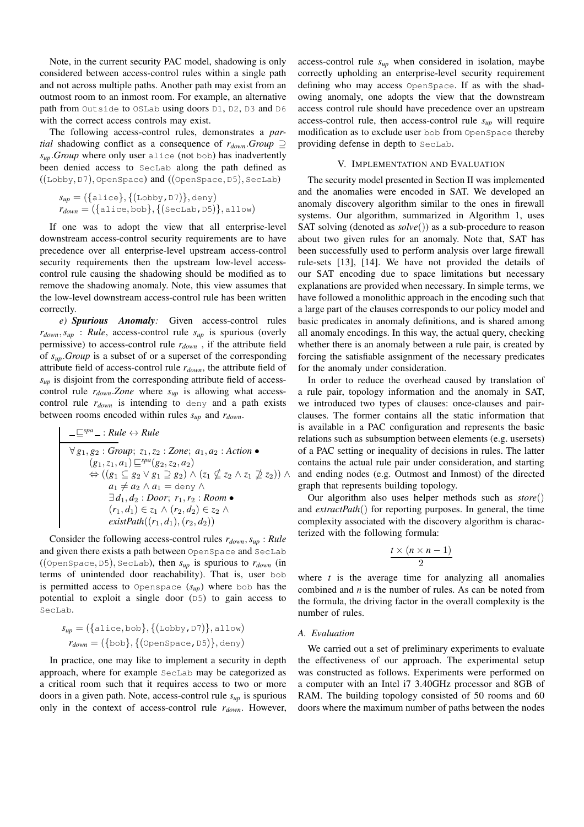Note, in the current security PAC model, shadowing is only considered between access-control rules within a single path and not across multiple paths. Another path may exist from an outmost room to an inmost room. For example, an alternative path from Outside to OSLab using doors D1, D2, D3 and D6 with the correct access controls may exist.

The following access-control rules, demonstrates a *partial* shadowing conflict as a consequence of *rdown*.*Group* ⊇ *sup*.*Group* where only user alice (not bob) has inadvertently been denied access to SecLab along the path defined as ((Lobby, D7), OpenSpace) and ((OpenSpace, D5), SecLab)

$$
s_{up} = (\{ \text{alice} \}, \{ (\text{Lobby}, D7) \}, \text{deny})
$$
  

$$
r_{down} = (\{ \text{alice}, \text{bob} \}, \{ (\text{SecLab}, D5) \}, \text{allow})
$$

If one was to adopt the view that all enterprise-level downstream access-control security requirements are to have precedence over all enterprise-level upstream access-control security requirements then the upstream low-level accesscontrol rule causing the shadowing should be modified as to remove the shadowing anomaly. Note, this view assumes that the low-level downstream access-control rule has been written correctly.

*e) Spurious Anomaly:* Given access-control rules *rdown*,*sup* : *Rule*, access-control rule *sup* is spurious (overly permissive) to access-control rule *rdown* , if the attribute field of *sup*.*Group* is a subset of or a superset of the corresponding attribute field of access-control rule *rdown*, the attribute field of *sup* is disjoint from the corresponding attribute field of accesscontrol rule *rdown*.*Zone* where *sup* is allowing what accesscontrol rule *rdown* is intending to deny and a path exists between rooms encoded within rules *sup* and *rdown*.

$$
\frac{\square^{spa} - : Rule \leftrightarrow Rule}{\forall g_1, g_2 : Group; z_1, z_2 : Zone; a_1, a_2 : Action \bullet}
$$
  
\n
$$
(g_1, z_1, a_1) \stackrel{\square^{spa}}{\triangleq} (g_2, z_2, a_2)
$$
  
\n
$$
\Leftrightarrow ((g_1 \subseteq g_2 \lor g_1 \supseteq g_2) \land (z_1 \nsubseteq z_2 \land z_1 \nsubseteq z_2)) \land
$$
  
\n
$$
a_1 \neq a_2 \land a_1 = \text{deny } \land
$$
  
\n
$$
\exists d_1, d_2 : Door; r_1, r_2 : Room \bullet
$$
  
\n
$$
(r_1, d_1) \in z_1 \land (r_2, d_2) \in z_2 \land
$$
  
\n
$$
existPath((r_1, d_1), (r_2, d_2))
$$

Consider the following access-control rules *rdown*,*sup* : *Rule* and given there exists a path between OpenSpace and SecLab ((OpenSpace, D5), SecLab), then *sup* is spurious to *rdown* (in terms of unintended door reachability). That is, user bob is permitted access to Openspace (*sup*) where bob has the potential to exploit a single door (D5) to gain access to SecLab.

$$
s_{up} = (\{\text{alice}, \text{bob}\}, \{(\text{Lobby}, \text{D7})\}, \text{allow})
$$

$$
r_{down} = (\{\text{bob}\}, \{(\text{OpenSpace}, \text{D5})\}, \text{deny})
$$

In practice, one may like to implement a security in depth approach, where for example SecLab may be categorized as a critical room such that it requires access to two or more doors in a given path. Note, access-control rule *sup* is spurious only in the context of access-control rule *rdown*. However,

access-control rule *sup* when considered in isolation, maybe correctly upholding an enterprise-level security requirement defining who may access OpenSpace. If as with the shadowing anomaly, one adopts the view that the downstream access control rule should have precedence over an upstream access-control rule, then access-control rule *sup* will require modification as to exclude user bob from OpenSpace thereby providing defense in depth to SecLab.

#### V. IMPLEMENTATION AND EVALUATION

The security model presented in Section II was implemented and the anomalies were encoded in SAT. We developed an anomaly discovery algorithm similar to the ones in firewall systems. Our algorithm, summarized in Algorithm 1, uses SAT solving (denoted as *solve*()) as a sub-procedure to reason about two given rules for an anomaly. Note that, SAT has been successfully used to perform analysis over large firewall rule-sets [13], [14]. We have not provided the details of our SAT encoding due to space limitations but necessary explanations are provided when necessary. In simple terms, we have followed a monolithic approach in the encoding such that a large part of the clauses corresponds to our policy model and basic predicates in anomaly definitions, and is shared among all anomaly encodings. In this way, the actual query, checking whether there is an anomaly between a rule pair, is created by forcing the satisfiable assignment of the necessary predicates for the anomaly under consideration.

In order to reduce the overhead caused by translation of a rule pair, topology information and the anomaly in SAT, we introduced two types of clauses: once-clauses and pairclauses. The former contains all the static information that is available in a PAC configuration and represents the basic relations such as subsumption between elements (e.g. usersets) of a PAC setting or inequality of decisions in rules. The latter contains the actual rule pair under consideration, and starting and ending nodes (e.g. Outmost and Inmost) of the directed graph that represents building topology.

Our algorithm also uses helper methods such as *store*() and *extractPath*() for reporting purposes. In general, the time complexity associated with the discovery algorithm is characterized with the following formula:

$$
\frac{t \times (n \times n - 1)}{2}
$$

where  $t$  is the average time for analyzing all anomalies combined and *n* is the number of rules. As can be noted from the formula, the driving factor in the overall complexity is the number of rules.

#### *A. Evaluation*

We carried out a set of preliminary experiments to evaluate the effectiveness of our approach. The experimental setup was constructed as follows. Experiments were performed on a computer with an Intel i7 3.40GHz processor and 8GB of RAM. The building topology consisted of 50 rooms and 60 doors where the maximum number of paths between the nodes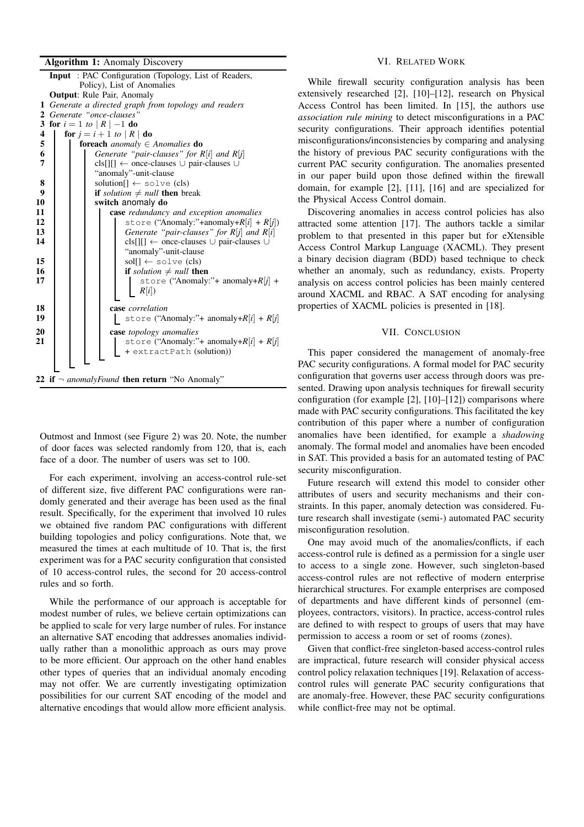**Algorithm 1:** Anomaly Discovery



Outmost and Inmost (see Figure 2) was 20. Note, the number of door faces was selected randomly from 120, that is, each face of a door. The number of users was set to 100.

For each experiment, involving an access-control rule-set of different size, five different PAC configurations were randomly generated and their average has been used as the final result. Specifically, for the experiment that involved 10 rules we obtained five random PAC configurations with different building topologies and policy configurations. Note that, we measured the times at each multitude of 10. That is, the first experiment was for a PAC security configuration that consisted of 10 access-control rules, the second for 20 access-control rules and so forth.

While the performance of our approach is acceptable for modest number of rules, we believe certain optimizations can be applied to scale for very large number of rules. For instance an alternative SAT encoding that addresses anomalies individually rather than a monolithic approach as ours may prove to be more efficient. Our approach on the other hand enables other types of queries that an individual anomaly encoding may not offer. We are currently investigating optimization possibilities for our current SAT encoding of the model and alternative encodings that would allow more efficient analysis.

## VI. RELATED WORK

While firewall security configuration analysis has been extensively researched [2], [10]–[12], research on Physical Access Control has been limited. In [15], the authors use *association rule mining* to detect misconfigurations in a PAC security configurations. Their approach identifies potential misconfigurations/inconsistencies by comparing and analysing the history of previous PAC security configurations with the current PAC security configuration. The anomalies presented in our paper build upon those defined within the firewall domain, for example [2], [11], [16] and are specialized for the Physical Access Control domain.

Discovering anomalies in access control policies has also attracted some attention [17]. The authors tackle a similar problem to that presented in this paper but for eXtensible Access Control Markup Language (XACML). They present a binary decision diagram (BDD) based technique to check whether an anomaly, such as redundancy, exists. Property analysis on access control policies has been mainly centered around XACML and RBAC. A SAT encoding for analysing properties of XACML policies is presented in [18].

#### VII. CONCLUSION

This paper considered the management of anomaly-free PAC security configurations. A formal model for PAC security configuration that governs user access through doors was presented. Drawing upon analysis techniques for firewall security configuration (for example [2], [10]–[12]) comparisons where made with PAC security configurations. This facilitated the key contribution of this paper where a number of configuration anomalies have been identified, for example a *shadowing* anomaly. The formal model and anomalies have been encoded in SAT. This provided a basis for an automated testing of PAC security misconfiguration.

Future research will extend this model to consider other attributes of users and security mechanisms and their constraints. In this paper, anomaly detection was considered. Future research shall investigate (semi-) automated PAC security misconfiguration resolution.

One may avoid much of the anomalies/conflicts, if each access-control rule is defined as a permission for a single user to access to a single zone. However, such singleton-based access-control rules are not reflective of modern enterprise hierarchical structures. For example enterprises are composed of departments and have different kinds of personnel (employees, contractors, visitors). In practice, access-control rules are defined to with respect to groups of users that may have permission to access a room or set of rooms (zones).

Given that conflict-free singleton-based access-control rules are impractical, future research will consider physical access control policy relaxation techniques [19]. Relaxation of accesscontrol rules will generate PAC security configurations that are anomaly-free. However, these PAC security configurations while conflict-free may not be optimal.